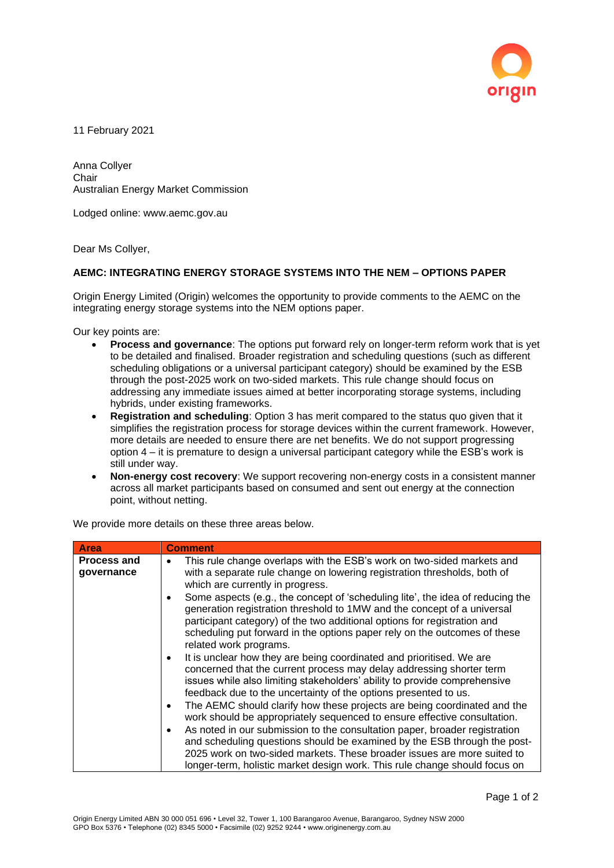

11 February 2021

Anna Collyer Chair Australian Energy Market Commission

Lodged online: www.aemc.gov.au

Dear Ms Collyer,

## **AEMC: INTEGRATING ENERGY STORAGE SYSTEMS INTO THE NEM – OPTIONS PAPER**

Origin Energy Limited (Origin) welcomes the opportunity to provide comments to the AEMC on the integrating energy storage systems into the NEM options paper.

Our key points are:

- **Process and governance**: The options put forward rely on longer-term reform work that is yet to be detailed and finalised. Broader registration and scheduling questions (such as different scheduling obligations or a universal participant category) should be examined by the ESB through the post-2025 work on two-sided markets. This rule change should focus on addressing any immediate issues aimed at better incorporating storage systems, including hybrids, under existing frameworks.
- **Registration and scheduling**: Option 3 has merit compared to the status quo given that it simplifies the registration process for storage devices within the current framework. However, more details are needed to ensure there are net benefits. We do not support progressing option 4 – it is premature to design a universal participant category while the ESB's work is still under way.
- **Non-energy cost recovery**: We support recovering non-energy costs in a consistent manner across all market participants based on consumed and sent out energy at the connection point, without netting.

| <b>Area</b>                      | <b>Comment</b>                                                                                                                                                                                                                                                                                                               |
|----------------------------------|------------------------------------------------------------------------------------------------------------------------------------------------------------------------------------------------------------------------------------------------------------------------------------------------------------------------------|
| <b>Process and</b><br>governance | This rule change overlaps with the ESB's work on two-sided markets and<br>$\bullet$<br>with a separate rule change on lowering registration thresholds, both of<br>which are currently in progress.<br>Some aspects (e.g., the concept of 'scheduling lite', the idea of reducing the                                        |
|                                  | ٠<br>generation registration threshold to 1MW and the concept of a universal<br>participant category) of the two additional options for registration and<br>scheduling put forward in the options paper rely on the outcomes of these<br>related work programs.                                                              |
|                                  | It is unclear how they are being coordinated and prioritised. We are<br>$\bullet$<br>concerned that the current process may delay addressing shorter term<br>issues while also limiting stakeholders' ability to provide comprehensive<br>feedback due to the uncertainty of the options presented to us.                    |
|                                  | The AEMC should clarify how these projects are being coordinated and the<br>٠<br>work should be appropriately sequenced to ensure effective consultation.                                                                                                                                                                    |
|                                  | As noted in our submission to the consultation paper, broader registration<br>$\bullet$<br>and scheduling questions should be examined by the ESB through the post-<br>2025 work on two-sided markets. These broader issues are more suited to<br>longer-term, holistic market design work. This rule change should focus on |

We provide more details on these three areas below.